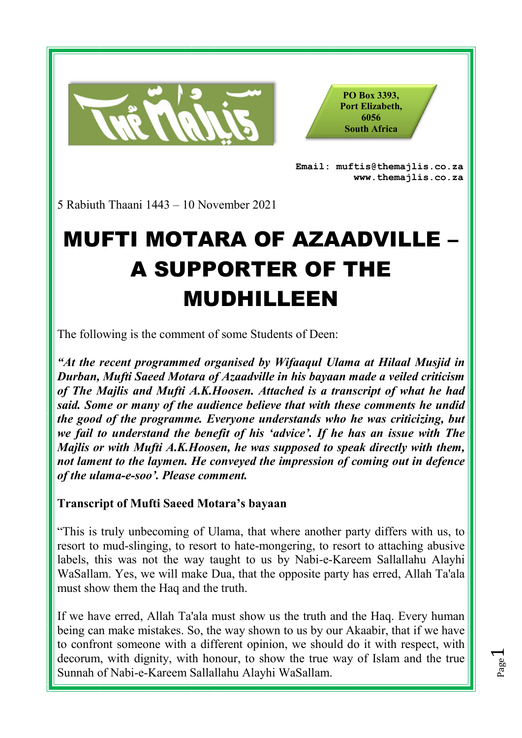

**PO Box 3393, Port Elizabeth, 6056 South Africa** 

**Email: muftis@themajlis.co.za www.themajlis.co.za** 

5 Rabiuth Thaani 1443 – 10 November 2021

## MUFTI MOTARA OF AZAADVILLE – A SUPPORTER OF THE MUDHILLEEN

The following is the comment of some Students of Deen:

*"At the recent programmed organised by Wifaaqul Ulama at Hilaal Musjid in Durban, Mufti Saeed Motara of Azaadville in his bayaan made a veiled criticism of The Majlis and Mufti A.K.Hoosen. Attached is a transcript of what he had said. Some or many of the audience believe that with these comments he undid the good of the programme. Everyone understands who he was criticizing, but we fail to understand the benefit of his 'advice'. If he has an issue with The Majlis or with Mufti A.K.Hoosen, he was supposed to speak directly with them, not lament to the laymen. He conveyed the impression of coming out in defence of the ulama-e-soo'. Please comment.*

## **Transcript of Mufti Saeed Motara's bayaan**

"This is truly unbecoming of Ulama, that where another party differs with us, to resort to mud-slinging, to resort to hate-mongering, to resort to attaching abusive labels, this was not the way taught to us by Nabi-e-Kareem Sallallahu Alayhi WaSallam. Yes, we will make Dua, that the opposite party has erred, Allah Ta'ala must show them the Haq and the truth.

If we have erred, Allah Ta'ala must show us the truth and the Haq. Every human being can make mistakes. So, the way shown to us by our Akaabir, that if we have to confront someone with a different opinion, we should do it with respect, with decorum, with dignity, with honour, to show the true way of Islam and the true Sunnah of Nabi-e-Kareem Sallallahu Alayhi WaSallam.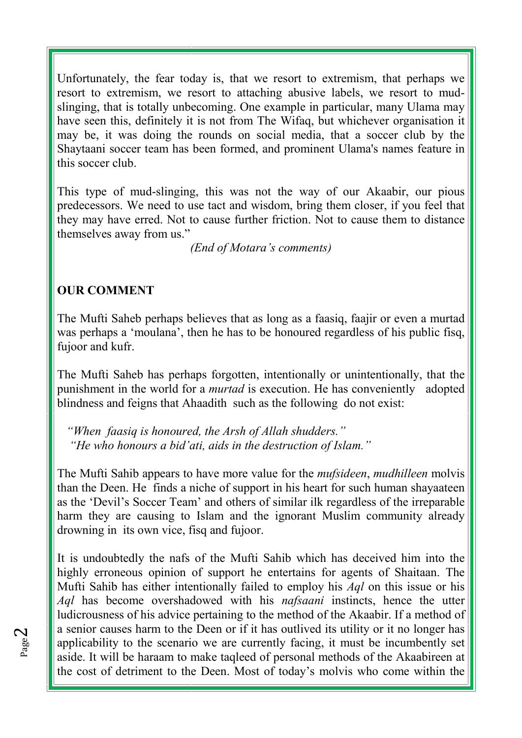Unfortunately, the fear today is, that we resort to extremism, that perhaps we resort to extremism, we resort to attaching abusive labels, we resort to mudslinging, that is totally unbecoming. One example in particular, many Ulama may have seen this, definitely it is not from The Wifaq, but whichever organisation it may be, it was doing the rounds on social media, that a soccer club by the Shaytaani soccer team has been formed, and prominent Ulama's names feature in this soccer club.

This type of mud-slinging, this was not the way of our Akaabir, our pious predecessors. We need to use tact and wisdom, bring them closer, if you feel that they may have erred. Not to cause further friction. Not to cause them to distance themselves away from us."

*(End of Motara's comments)* 

## **OUR COMMENT**

The Mufti Saheb perhaps believes that as long as a faasiq, faajir or even a murtad was perhaps a 'moulana', then he has to be honoured regardless of his public fisq, fujoor and kufr.

The Mufti Saheb has perhaps forgotten, intentionally or unintentionally, that the punishment in the world for a *murtad* is execution. He has conveniently adopted blindness and feigns that Ahaadith such as the following do not exist:

 *"When faasiq is honoured, the Arsh of Allah shudders." "He who honours a bid'ati, aids in the destruction of Islam."* 

The Mufti Sahib appears to have more value for the *mufsideen*, *mudhilleen* molvis than the Deen. He finds a niche of support in his heart for such human shayaateen as the 'Devil's Soccer Team' and others of similar ilk regardless of the irreparable harm they are causing to Islam and the ignorant Muslim community already drowning in its own vice, fisq and fujoor.

It is undoubtedly the nafs of the Mufti Sahib which has deceived him into the highly erroneous opinion of support he entertains for agents of Shaitaan. The Mufti Sahib has either intentionally failed to employ his *Aql* on this issue or his *Aql* has become overshadowed with his *nafsaani* instincts, hence the utter ludicrousness of his advice pertaining to the method of the Akaabir. If a method of a senior causes harm to the Deen or if it has outlived its utility or it no longer has applicability to the scenario we are currently facing, it must be incumbently set aside. It will be haraam to make taqleed of personal methods of the Akaabireen at the cost of detriment to the Deen. Most of today's molvis who come within the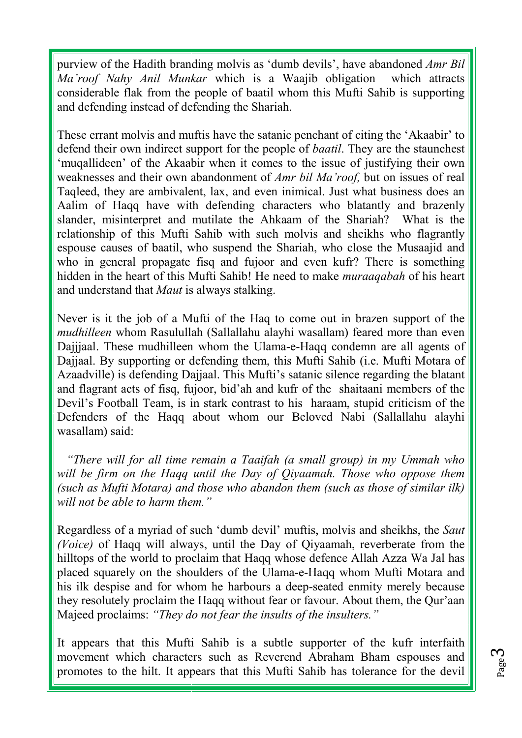purview of the Hadith branding molvis as 'dumb devils', have abandoned *Amr Bil Ma'roof Nahy Anil Munkar* which is a Waajib obligation which attracts considerable flak from the people of baatil whom this Mufti Sahib is supporting and defending instead of defending the Shariah.

These errant molvis and muftis have the satanic penchant of citing the 'Akaabir' to defend their own indirect support for the people of *baatil*. They are the staunchest 'muqallideen' of the Akaabir when it comes to the issue of justifying their own weaknesses and their own abandonment of *Amr bil Ma'roof,* but on issues of real Taqleed, they are ambivalent, lax, and even inimical. Just what business does an Aalim of Haqq have with defending characters who blatantly and brazenly slander, misinterpret and mutilate the Ahkaam of the Shariah? What is the relationship of this Mufti Sahib with such molvis and sheikhs who flagrantly espouse causes of baatil, who suspend the Shariah, who close the Musaajid and who in general propagate fisq and fujoor and even kufr? There is something hidden in the heart of this Mufti Sahib! He need to make *muraaqabah* of his heart and understand that *Maut* is always stalking.

Never is it the job of a Mufti of the Haq to come out in brazen support of the *mudhilleen* whom Rasulullah (Sallallahu alayhi wasallam) feared more than even Dajjjaal. These mudhilleen whom the Ulama-e-Haqq condemn are all agents of Dajjaal. By supporting or defending them, this Mufti Sahib (i.e. Mufti Motara of Azaadville) is defending Dajjaal. This Mufti's satanic silence regarding the blatant and flagrant acts of fisq, fujoor, bid'ah and kufr of the shaitaani members of the Devil's Football Team, is in stark contrast to his haraam, stupid criticism of the Defenders of the Haqq about whom our Beloved Nabi (Sallallahu alayhi wasallam) said:

 *"There will for all time remain a Taaifah (a small group) in my Ummah who will be firm on the Haqq until the Day of Qiyaamah. Those who oppose them (such as Mufti Motara) and those who abandon them (such as those of similar ilk) will not be able to harm them."* 

Regardless of a myriad of such 'dumb devil' muftis, molvis and sheikhs, the *Saut (Voice)* of Haqq will always, until the Day of Qiyaamah, reverberate from the hilltops of the world to proclaim that Haqq whose defence Allah Azza Wa Jal has placed squarely on the shoulders of the Ulama-e-Haqq whom Mufti Motara and his ilk despise and for whom he harbours a deep-seated enmity merely because they resolutely proclaim the Haqq without fear or favour. About them, the Qur'aan Majeed proclaims: *"They do not fear the insults of the insulters."*

It appears that this Mufti Sahib is a subtle supporter of the kufr interfaith movement which characters such as Reverend Abraham Bham espouses and promotes to the hilt. It appears that this Mufti Sahib has tolerance for the devil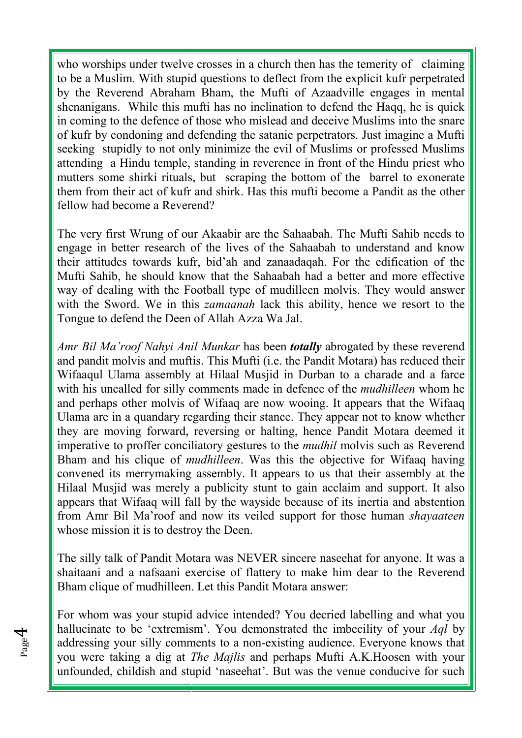who worships under twelve crosses in a church then has the temerity of claiming to be a Muslim. With stupid questions to deflect from the explicit kufr perpetrated by the Reverend Abraham Bham, the Mufti of Azaadville engages in mental shenanigans. While this mufti has no inclination to defend the Haqq, he is quick in coming to the defence of those who mislead and deceive Muslims into the snare of kufr by condoning and defending the satanic perpetrators. Just imagine a Mufti seeking stupidly to not only minimize the evil of Muslims or professed Muslims attending a Hindu temple, standing in reverence in front of the Hindu priest who mutters some shirki rituals, but scraping the bottom of the barrel to exonerate them from their act of kufr and shirk. Has this mufti become a Pandit as the other fellow had become a Reverend?

The very first Wrung of our Akaabir are the Sahaabah. The Mufti Sahib needs to engage in better research of the lives of the Sahaabah to understand and know their attitudes towards kufr, bid'ah and zanaadaqah. For the edification of the Mufti Sahib, he should know that the Sahaabah had a better and more effective way of dealing with the Football type of mudilleen molvis. They would answer with the Sword. We in this *zamaanah* lack this ability, hence we resort to the Tongue to defend the Deen of Allah Azza Wa Jal.

*Amr Bil Ma'roof Nahyi Anil Munkar* has been *totally* abrogated by these reverend and pandit molvis and muftis. This Mufti (i.e. the Pandit Motara) has reduced their Wifaaqul Ulama assembly at Hilaal Musjid in Durban to a charade and a farce with his uncalled for silly comments made in defence of the *mudhilleen* whom he and perhaps other molvis of Wifaaq are now wooing. It appears that the Wifaaq Ulama are in a quandary regarding their stance. They appear not to know whether they are moving forward, reversing or halting, hence Pandit Motara deemed it imperative to proffer conciliatory gestures to the *mudhil* molvis such as Reverend Bham and his clique of *mudhilleen*. Was this the objective for Wifaaq having convened its merrymaking assembly. It appears to us that their assembly at the Hilaal Musjid was merely a publicity stunt to gain acclaim and support. It also appears that Wifaaq will fall by the wayside because of its inertia and abstention from Amr Bil Ma'roof and now its veiled support for those human *shayaateen* whose mission it is to destroy the Deen.

The silly talk of Pandit Motara was NEVER sincere naseehat for anyone. It was a shaitaani and a nafsaani exercise of flattery to make him dear to the Reverend Bham clique of mudhilleen. Let this Pandit Motara answer:

For whom was your stupid advice intended? You decried labelling and what you hallucinate to be 'extremism'. You demonstrated the imbecility of your *Aql* by addressing your silly comments to a non-existing audience. Everyone knows that you were taking a dig at *The Majlis* and perhaps Mufti A.K.Hoosen with your unfounded, childish and stupid 'naseehat'. But was the venue conducive for such

Page 4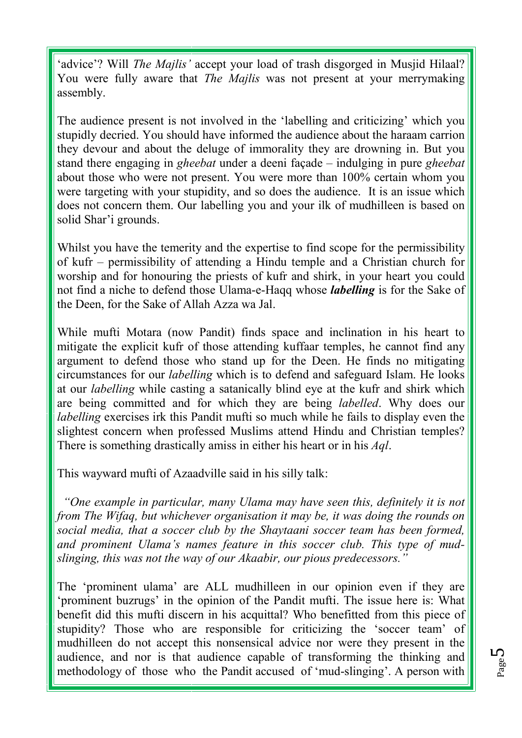'advice'? Will *The Majlis'* accept your load of trash disgorged in Musjid Hilaal? You were fully aware that *The Majlis* was not present at your merrymaking assembly.

The audience present is not involved in the 'labelling and criticizing' which you stupidly decried. You should have informed the audience about the haraam carrion they devour and about the deluge of immorality they are drowning in. But you stand there engaging in *gheebat* under a deeni façade – indulging in pure *gheebat* about those who were not present. You were more than 100% certain whom you were targeting with your stupidity, and so does the audience. It is an issue which does not concern them. Our labelling you and your ilk of mudhilleen is based on solid Shar'i grounds.

Whilst you have the temerity and the expertise to find scope for the permissibility of kufr – permissibility of attending a Hindu temple and a Christian church for worship and for honouring the priests of kufr and shirk, in your heart you could not find a niche to defend those Ulama-e-Haqq whose *labelling* is for the Sake of the Deen, for the Sake of Allah Azza wa Jal.

While mufti Motara (now Pandit) finds space and inclination in his heart to mitigate the explicit kufr of those attending kuffaar temples, he cannot find any argument to defend those who stand up for the Deen. He finds no mitigating circumstances for our *labelling* which is to defend and safeguard Islam. He looks at our *labelling* while casting a satanically blind eye at the kufr and shirk which are being committed and for which they are being *labelled*. Why does our *labelling* exercises irk this Pandit mufti so much while he fails to display even the slightest concern when professed Muslims attend Hindu and Christian temples? There is something drastically amiss in either his heart or in his *Aql*.

This wayward mufti of Azaadville said in his silly talk:

 *"One example in particular, many Ulama may have seen this, definitely it is not from The Wifaq, but whichever organisation it may be, it was doing the rounds on social media, that a soccer club by the Shaytaani soccer team has been formed, and prominent Ulama's names feature in this soccer club. This type of mudslinging, this was not the way of our Akaabir, our pious predecessors."* 

The 'prominent ulama' are ALL mudhilleen in our opinion even if they are 'prominent buzrugs' in the opinion of the Pandit mufti. The issue here is: What benefit did this mufti discern in his acquittal? Who benefitted from this piece of stupidity? Those who are responsible for criticizing the 'soccer team' of mudhilleen do not accept this nonsensical advice nor were they present in the audience, and nor is that audience capable of transforming the thinking and methodology of those who the Pandit accused of 'mud-slinging'. A person with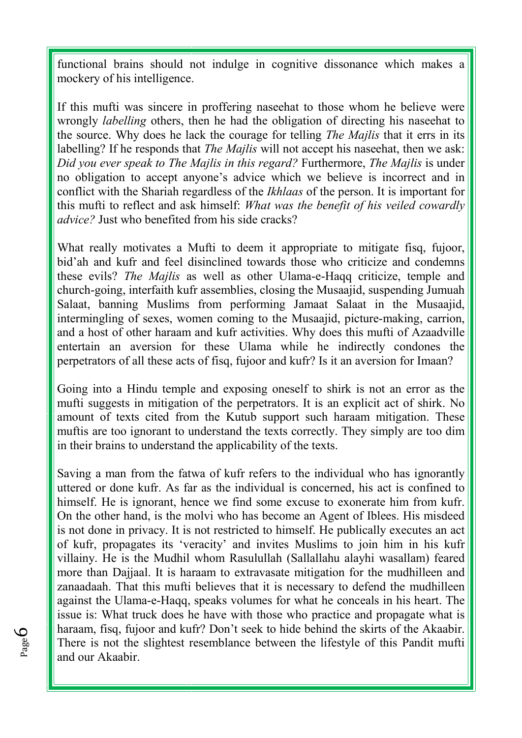functional brains should not indulge in cognitive dissonance which makes a mockery of his intelligence.

If this mufti was sincere in proffering naseehat to those whom he believe were wrongly *labelling* others, then he had the obligation of directing his naseehat to the source. Why does he lack the courage for telling *The Majlis* that it errs in its labelling? If he responds that *The Majlis* will not accept his naseehat, then we ask: *Did you ever speak to The Majlis in this regard?* Furthermore, *The Majlis* is under no obligation to accept anyone's advice which we believe is incorrect and in conflict with the Shariah regardless of the *Ikhlaas* of the person. It is important for this mufti to reflect and ask himself: *What was the benefit of his veiled cowardly advice?* Just who benefited from his side cracks?

What really motivates a Mufti to deem it appropriate to mitigate fisq, fujoor, bid'ah and kufr and feel disinclined towards those who criticize and condemns these evils? *The Majlis* as well as other Ulama-e-Haqq criticize, temple and church-going, interfaith kufr assemblies, closing the Musaajid, suspending Jumuah Salaat, banning Muslims from performing Jamaat Salaat in the Musaajid, intermingling of sexes, women coming to the Musaajid, picture-making, carrion, and a host of other haraam and kufr activities. Why does this mufti of Azaadville entertain an aversion for these Ulama while he indirectly condones the perpetrators of all these acts of fisq, fujoor and kufr? Is it an aversion for Imaan?

Going into a Hindu temple and exposing oneself to shirk is not an error as the mufti suggests in mitigation of the perpetrators. It is an explicit act of shirk. No amount of texts cited from the Kutub support such haraam mitigation. These muftis are too ignorant to understand the texts correctly. They simply are too dim in their brains to understand the applicability of the texts.

Saving a man from the fatwa of kufr refers to the individual who has ignorantly uttered or done kufr. As far as the individual is concerned, his act is confined to himself. He is ignorant, hence we find some excuse to exonerate him from kufr. On the other hand, is the molvi who has become an Agent of Iblees. His misdeed is not done in privacy. It is not restricted to himself. He publically executes an act of kufr, propagates its 'veracity' and invites Muslims to join him in his kufr villainy. He is the Mudhil whom Rasulullah (Sallallahu alayhi wasallam) feared more than Dajjaal. It is haraam to extravasate mitigation for the mudhilleen and zanaadaah. That this mufti believes that it is necessary to defend the mudhilleen against the Ulama-e-Haqq, speaks volumes for what he conceals in his heart. The issue is: What truck does he have with those who practice and propagate what is haraam, fisq, fujoor and kufr? Don't seek to hide behind the skirts of the Akaabir. There is not the slightest resemblance between the lifestyle of this Pandit mufti and our Akaabir.

Page 6